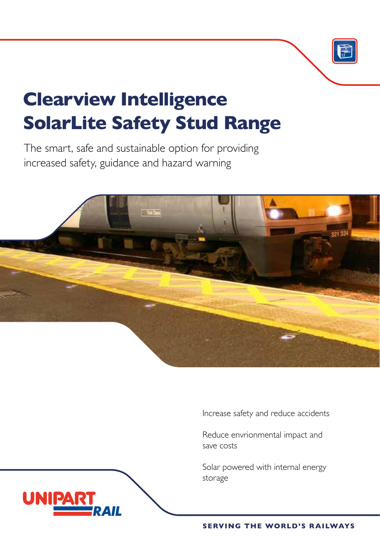

# **Clearview Intelligence SolarLite Safety Stud Range**

The smart, safe and sustainable option for providing increased safety, guidance and hazard warning

UNIP



Increase safety and reduce accidents

Reduce envrionmental impact and save costs

Solar powered with internal energy storage

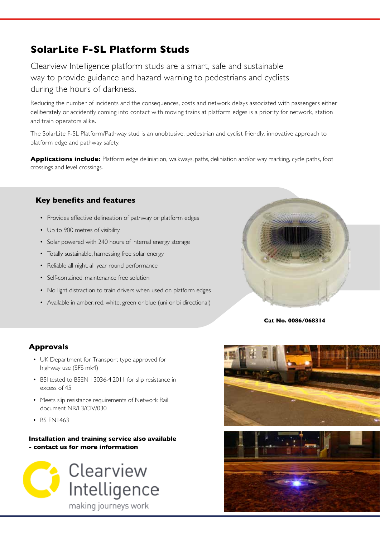## **SolarLite F-SL Platform Studs**

Clearview Intelligence platform studs are a smart, safe and sustainable way to provide guidance and hazard warning to pedestrians and cyclists during the hours of darkness.

Reducing the number of incidents and the consequences, costs and network delays associated with passengers either deliberately or accidently coming into contact with moving trains at platform edges is a priority for network, station and train operators alike.

The SolarLite F-SL Platform/Pathway stud is an unobtusive, pedestrian and cyclist friendly, innovative approach to platform edge and pathway safety.

**Applications include:** Platform edge deliniation, walkways, paths, deliniation and/or way marking, cycle paths, foot crossings and level crossings.

### **Key benefits and features**

- Provides effective delineation of pathway or platform edges
- Up to 900 metres of visibility
- Solar powered with 240 hours of internal energy storage
- Totally sustainable, harnessing free solar energy
- Reliable all night, all year round performance
- Self-contained, maintenance free solution
- No light distraction to train drivers when used on platform edges
- Available in amber, red, white, green or blue (uni or bi directional)



**Cat No. 0086/068314**

### **Approvals**

- UK Department for Transport type approved for highway use (SFS mk4)
- BSI tested to BSEN 13036-4:2011 for slip resistance in excess of 45
- Meets slip resistance requirements of Network Rail document NR/L3/CIV/030
- BS EN1463

#### **Installation and training service also available - contact us for more information**



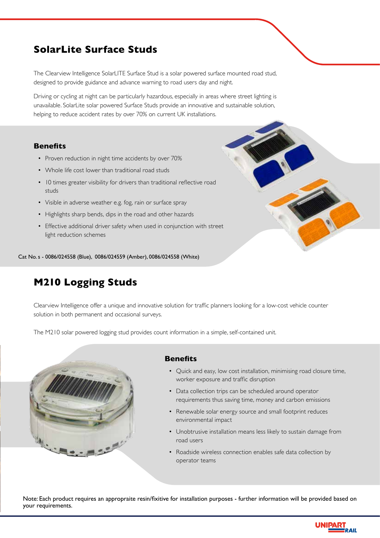## **SolarLite Surface Studs**

The Clearview Intelligence SolarLITE Surface Stud is a solar powered surface mounted road stud, designed to provide guidance and advance warning to road users day and night.

Driving or cycling at night can be particularly hazardous, especially in areas where street lighting is unavailable. SolarLite solar powered Surface Studs provide an innovative and sustainable solution, helping to reduce accident rates by over 70% on current UK installations.

#### **Benefits**

- Proven reduction in night time accidents by over 70%
- Whole life cost lower than traditional road studs
- 10 times greater visibility for drivers than traditional reflective road studs
- Visible in adverse weather e.g. fog, rain or surface spray
- Highlights sharp bends, dips in the road and other hazards
- Effective additional driver safety when used in conjunction with street light reduction schemes

Cat No. s - 0086/024558 (Blue), 0086/024559 (Amber), 0086/024558 (White)

## **M210 Logging Studs**

Clearview Intelligence offer a unique and innovative solution for traffic planners looking for a low-cost vehicle counter solution in both permanent and occasional surveys.

The M210 solar powered logging stud provides count information in a simple, self-contained unit.



#### **Benefits**

- Quick and easy, low cost installation, minimising road closure time, worker exposure and traffic disruption
- Data collection trips can be scheduled around operator requirements thus saving time, money and carbon emissions
- Renewable solar energy source and small footprint reduces environmental impact
- Unobtrusive installation means less likely to sustain damage from road users
- Roadside wireless connection enables safe data collection by operator teams

Note: Each product requires an appropraite resin/fixitive for installation purposes - further information will be provided based on your requirements.